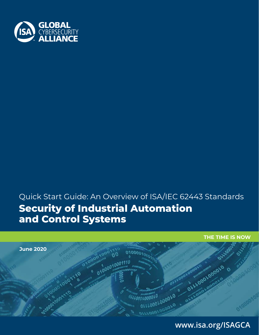

# Quick Start Guide: An Overview of ISA/IEC 62443 Standards **Security of Industrial Automation and Control Systems**



# **WWW.ISA.ORG/ISAGCA 1 www.isa.org/ISAGCA**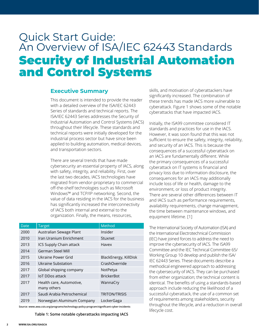# Quick Start Guide: An Overview of ISA/IEC 62443 Standards Security of Industrial Automation and Control Systems

#### **Executive Summary**

This document is intended to provide the reader with a detailed overview of the ISA/IEC 62443 Series of standards and technical reports. The ISA/IEC 62443 Series addresses the Security of Industrial Automation and Control Systems (IACS) throughout their lifecycle. These standards and technical reports were initially developed for the industrial process sector but have since been applied to building automation, medical devices, and transportation sectors.

There are several trends that have made cybersecurity an essential property of IACS, along with safety, integrity, and reliability. First, over the last two decades, IACS technologies have migrated from vendor-proprietary to commercial off-the-shelf technologies such as Microsoft Windows™ and TCP/IP networking. Second, the value of data residing in the IACS for the business has significantly increased the interconnectivity of IACS both internal and external to the organization. Finally, the means, resources,

| Date | <b>Target</b>                           | Method                |
|------|-----------------------------------------|-----------------------|
| 2000 | Australian Sewage Plant                 | Insider               |
| 2010 | Iran Uranium Enrichment                 | Stuxnet               |
| 2013 | ICS Supply Chain attack                 | Havex                 |
| 2014 | German Steel Mill                       |                       |
| 2015 | Ukraine Power Grid                      | BlackEnergy, KillDisk |
| 2016 | Ukraine Substation                      | CrashOverride         |
| 2017 | Global shipping company                 | NotPetya              |
| 2017 | <b>IoT DDos attack</b>                  | <b>BrickerBot</b>     |
| 2017 | Health care, Automotive,<br>many others | WannaCry              |
| 2017 | Saudi Arabia Petrochemical              | <b>TRITON/TRISIS</b>  |
| 2019 | Norwegian Aluminum Company              | LockerGaga            |

**Source: www.awa.csis.org/programs/technology-policy-program/significant-cyber-incidents**

**Table 1: Some notable cyberattacks impacting IACS**

skills, and motivation of cyberattackers have significantly increased. The combination of these trends has made IACS more vulnerable to cyberattack. Figure 1 shows some of the notable cyberattacks that have impacted IACS.

Initially, the ISA99 committee considered IT standards and practices for use in the IACS. However, it was soon found that this was not sufficient to ensure the safety, integrity, reliability, and security of an IACS. This is because the consequences of a successful cyberattack on an IACS are fundamentally different. While the primary consequences of a successful cyberattack on IT systems is financial and privacy loss due to information disclosure, the consequences for an IACS may additionally include loss of life or health, damage to the environment, or loss of product integrity. There are several other differences between IT and IACS such as performance requirements, availability requirements, change management, the time between maintenance windows, and equipment lifetime. [1]

The International Society of Automation (ISA) and the International Electrotechnical Commission (IEC) have joined forces to address the need to improve the cybersecurity of IACS. The ISA99 Committee and the IEC Technical Committee 65/ Working Group 10 develop and publish the ISA/ IEC 62443 Series. These documents describe a methodical engineered approach to addressing the cybersecurity of IACS. They can be purchased from either organization; the technical content is identical. The benefits of using a standards-based approach include reducing the likelihood of a successful cyberattack, the use of a common set of requirements among stakeholders, security throughout the lifecycle, and a reduction in overall lifecycle cost.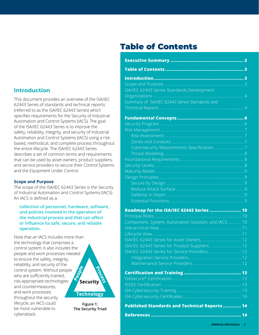# **Introduction**

This document provides an overview of the ISA/IEC 62443 Series of standards and technical reports (referred to as the ISA/IEC 62443 Series) which specifies requirements for the Security of Industrial Automation and Control Systems (IACS). The goal of the ISA/IEC 62443 Series is to improve the safety, reliability, integrity, and security of Industrial Automation and Control Systems (IACS) using a riskbased, methodical, and complete process throughout the entire lifecycle. The ISA/IEC 62443 Series describes a set of common terms and requirements that can be used by asset owners, product suppliers, and service providers to secure their Control Systems and the Equipment Under Control.

#### **Scope and Purpose**

The scope of the ISA/IEC 62443 Series is the Security of Industrial Automation and Control Systems (IACS). An IACS is defined as a:

#### **collection of personnel, hardware, software, and policies involved in the operation of the industrial process and that can affect or influence its safe, secure, and reliable operation.**

Note that an IACS includes more than the technology that comprises a control system; it also includes the people and work processes needed to ensure the safety, integrity, reliability, and security of the control system. Without people **ROS** who are sufficiently trained, risk-appropriate technologies and countermeasures, and work processes throughout the security lifecycle, an IACS could be more vulnerable to cyberattack.

# **Security Technology**

**Figure 1: The Security Triad**

# Table of Contents

| ISA/IEC 62443 Series Standards Development           |
|------------------------------------------------------|
|                                                      |
| Summary of ISA/IEC 62443 Series Standards and        |
|                                                      |
|                                                      |
|                                                      |
|                                                      |
|                                                      |
|                                                      |
|                                                      |
|                                                      |
|                                                      |
|                                                      |
|                                                      |
|                                                      |
|                                                      |
|                                                      |
|                                                      |
|                                                      |
| Roadmap for the ISA/IEC 62443 Series  10             |
|                                                      |
| Component, System, Automation Solution, and IACS10   |
|                                                      |
|                                                      |
|                                                      |
| ISA/IEC 62443 Series for Product Suppliers  12       |
| ISA/IEC 62443 Series for Service Providers 12        |
|                                                      |
|                                                      |
|                                                      |
|                                                      |
|                                                      |
|                                                      |
|                                                      |
| <b>Published Standards and Technical Reports  14</b> |
|                                                      |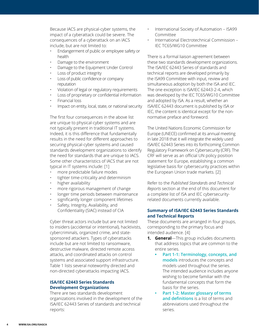Because IACS are physical-cyber systems, the impact of a cyberattack could be severe. The consequences of a cyberattack on an IACS include, but are not limited to:

- Endangerment of public or employee safety or health
- Damage to the environment
- Damage to the Equipment Under Control
- Loss of product integrity
- Loss of public confidence or company reputation
- Violation of legal or regulatory requirements
- Loss of proprietary or confidential information
- Financial loss
- Impact on entity, local, state, or national security

The first four consequences in the above list are unique to physical-cyber systems and are not typically present in traditional IT systems. Indeed, it is this difference that fundamentally results in the need for different approaches to securing physical-cyber systems and caused standards development organizations to identify the need for standards that are unique to IACS. Some other characteristics of IACS that are not typical in IT systems include: [1]

- more predictable failure modes
- tighter time-criticality and determinism
- higher availability
- more rigorous management of change
- longer time periods between maintenance
- significantly longer component lifetimes
- Safety, Integrity, Availability, and Confidentiality (SIAC) instead of CIA

Cyber threat actors include but are not limited to insiders (accidental or intentional), hacktivists, cybercriminals, organized crime, and statesponsored attackers. Types of cyberattacks include but are not limited to ransomware, destructive malware, directed remote access attacks, and coordinated attacks on control systems and associated support infrastructure. Table 1 lists several noteworthy directed and non-directed cyberattacks impacting IACS.

#### **ISA/IEC 62443 Series Standards Development Organizations**

There are two standards development organizations involved in the development of the ISA/IEC 62443 Series of standards and technical reports:

- International Society of Automation ISA99 Committee
- International Electrotechnical Commission IEC TC65/WG10 Committee

There is a formal liaison agreement between these two standards development organizations. The ISA/IEC 62443 Series of standards and technical reports are developed primarily by the ISA99 Committee with input, review and simultaneous adoption by both the ISA and IEC. The one exception is ISA/IEC 62443-2-4, which was developed by the IEC TC65/WG10 Committee and adopted by ISA. As a result, whether an ISA/IEC 62443 document is published by ISA or IEC, the content is identical except for the nonnormative preface and foreword.

The United Nations Economic Commission for Europe (UNECE) confirmed at its annual meeting in late 2018 that it will integrate the widely used ISA/IEC 62443 Series into its forthcoming Common Regulatory Framework on Cybersecurity (CRF). The CRF will serve as an official UN policy position statement for Europe, establishing a common legislative basis for cybersecurity practices within the European Union trade markets. [2]

Refer to the *Published Standards and Technical Reports* section at the end of this document for a complete list of ISA and IEC cybersecurityrelated documents currently available.

#### **Summary of ISA/IEC 62443 Series Standards and Technical Reports**

These documents are arranged in four groups, corresponding to the primary focus and intended audience. [4]

- **1. General**—This group includes documents that address topics that are common to the entire series.
	- **• Part 1-1: Terminology, concepts, and models** introduces the concepts and models used throughout the series. The intended audience includes anyone wishing to become familiar with the fundamental concepts that form the basis for the series.
	- **• Part 1-2: Master glossary of terms and definitions** is a list of terms and abbreviations used throughout the series.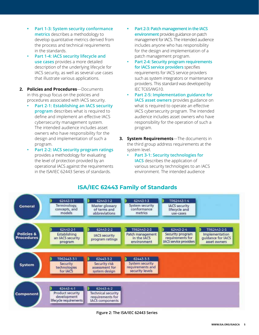- **• Part 1-3: System security conformance metrics** describes a methodology to develop quantitative metrics derived from the process and technical requirements in the standards.
- **• Part 1-4: IACS security lifecycle and use cases** provides a more detailed description of the underlying lifecycle for IACS security, as well as several use cases that illustrate various applications.
- **2. Policies and Procedures**—Documents in this group focus on the policies and procedures associated with IACS security.
	- **• Part 2-1: Establishing an IACS security program** describes what is required to define and implement an effective IACS cybersecurity management system. The intended audience includes asset owners who have responsibility for the design and implementation of such a program.
	- **• Part 2-2: IACS security program ratings**  provides a methodology for evaluating the level of protection provided by an operational IACS against the requirements in the ISA/IEC 62443 Series of standards.
- **• Part 2-3: Patch management in the IACS environment** provides guidance on patch management for IACS. The intended audience includes anyone who has responsibility for the design and implementation of a patch management program.
- **• Part 2-4: Security program requirements for IACS service providers** specifies requirements for IACS service providers such as system integrators or maintenance providers. This standard was developed by IEC TC65/WG10.
- **• Part 2-5: Implementation guidance for IACS asset owners** provides guidance on what is required to operate an effective IACS cybersecurity program. The intended audience includes asset owners who have responsibility for the operation of such a program.
- **3. System Requirements**—The documents in the third group address requirements at the system level.
	- **• Part 3-1: Security technologies for IACS** describes the application of various security technologies to an IACS environment. The intended audience



**ISA/IEC 62443 Family of Standards**

#### **Figure 2: The ISA/IEC 62443 Series**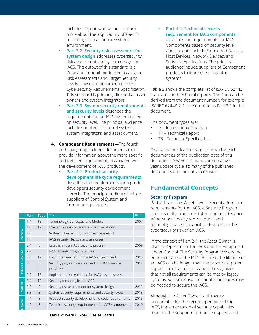includes anyone who wishes to learn more about the applicability of specific technologies in a control systems environment.

- **• Part 3-2: Security risk assessment for system design** addresses cybersecurity risk assessment and system design for IACS. The output of this standard is a Zone and Conduit model and associated Risk Assessments and Target Security Levels. These are documented in the Cybersecurity Requirements Specification. This standard is primarily directed at asset owners and system integrators.
- **• Part 3-3: System security requirements and security levels** describes the requirements for an IACS system based on security level. The principal audience include suppliers of control systems, system integrators, and asset owners.
- **4. Component Requirements—**The fourth and final group includes documents that provide information about the more specific and detailed requirements associated with the development of IACS products.
	- **• Part 4-1: Product security development life cycle requirements** describes the requirements for a product developer's security development lifecycle. The principal audience include suppliers of Control System and Component products.

|                       | Part    | <b>Type</b> | <b>Title</b>                                                | <b>Date</b> |
|-----------------------|---------|-------------|-------------------------------------------------------------|-------------|
|                       | $1 - 1$ | <b>TS</b>   | Terminology, Concepts, and Models                           | 2007        |
|                       | $1 - 2$ | <b>TR</b>   | Master glossary of terms and abbreviations                  |             |
| Overview              | $1 - 3$ |             | System cybersecurity conformance metrics                    |             |
|                       | $1 - 4$ |             | IACS security lifecycle and use cases                       |             |
|                       | $2 - 1$ | IS.         | Establishing an IACS security program                       | 2009        |
|                       | $2 - 2$ |             | IACS security program ratings                               |             |
|                       | $2 - 3$ | <b>TR</b>   | Patch management in the IACS environment                    | 2015        |
| Policies & Procedures | $2 - 4$ | IS.         | Security program requirements for IACS service<br>providers | 2018        |
|                       | $2 - 5$ | <b>TR</b>   | Implementation guidance for IACS asset owners               |             |
|                       | $3-1$   | <b>TR</b>   | Security technologies for IACS                              |             |
| Systems               | $3-2$   | IS          | Security risk assessment for system design                  | 2020        |
|                       | $3-3$   | IS          | System security requirements and security levels            | 2013        |
|                       | $4 - 1$ | IS.         | Product security development life-cycle requirements        | 2018        |
| Component             | $4 - 2$ | IS          | Technical security requirements for IACS components         | 2019        |

**Table 2: ISA/IEC 62443 Series Status**

**• Part 4-2: Technical security requirement for IACS components**

describes the requirements for IACS Components based on security level. Components include Embedded Devices, Host Devices, Network Devices, and Software Applications. The principal audience include suppliers of Component products that are used in control systems.

Table 2 shows the complete list of ISA/IEC 62443 standards and technical reports. The Part can be derived from the document number, for example ISA/IEC 62443-2-1 is referred to as Part 2-1 in this document.

The document types are:

- IS International Standard
- TR Technical Report
- TS Technical Specification

Finally, the publication date is shown for each document as of the publication date of this document. ISA/IEC standards are on a fiveyear update cycle, so many of the published documents are currently in revision.

## **Fundamental Concepts**

#### **Security Program**

Part 2-1 specifies Asset Owner Security Program requirements for the IACS. A Security Program consists of the implementation and maintenance of personnel, policy & procedural, and technology-based capabilities that reduce the cybersecurity risk of an IACS.

In the context of Part 2-1, the Asset Owner is also the Operator of the IACS and the Equipment Under Control. The Security Program covers the entire lifecycle of the IACS. Because the lifetime of an IACS can be longer than the product supplier support timeframe, the standard recognizes that not all requirements can be met by legacy systems, so compensating countermeasures may be needed to secure the IACS.

Although the Asset Owner is ultimately accountable for the secure operation of the IACS, implementation of security capabilities requires the support of product suppliers and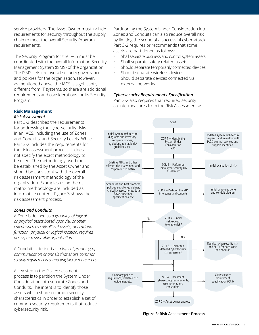service providers. The Asset Owner must include requirements for security throughout the supply chain to meet the overall Security Program requirements.

The Security Program for the IACS must be coordinated with the overall Information Security Management System (ISMS) of the organization. The ISMS sets the overall security governance and policies for the organization. However, as mentioned above, the IACS is significantly different from IT systems, so there are additional requirements and considerations for its Security Program.

#### **Risk Management** *Risk Assessment*

Part 3-2 describes the requirements for addressing the cybersecurity risks in an IACS, including the use of Zones and Conduits, and Security Levels. While Part 3-2 includes the requirements for the risk assessment process, it does not specify the exact methodology to be used. The methodology used must be established by the Asset Owner and should be consistent with the overall risk assessment methodology of the organization. Examples using the risk matrix methodology are included as informative content. Figure 3 shows the risk assessment process.

#### *Zones and Conduits*

A Zone is defined as *a grouping of logical or physical assets based upon risk or other criteria such as criticality of assets, operational function, physical or logical location, required access, or responsible organization.*

A Conduit is defined as *a logical grouping of communication channels that share common security requirements connecting two or more zones.*

A key step in the Risk Assessment process is to partition the System Under Consideration into separate Zones and Conduits. The intent is to identify those assets which share common security characteristics in order to establish a set of common security requirements that reduce cybersecurity risk.

Partitioning the System Under Consideration into Zones and Conduits can also reduce overall risk by limiting the scope of a successful cyber-attack. Part 3-2 requires or recommends that some assets are partitioned as follows:

- Shall separate business and control system assets
- Shall separate safety related assets
- Should separate temporarily connected devices
- Should separate wireless devices
- Should separate devices connected via external networks

#### *Cybersecurity Requirements Specification*

Part 3-2 also requires that required security countermeasures from the Risk Assessment as



**Figure 3: Risk Assessment Process**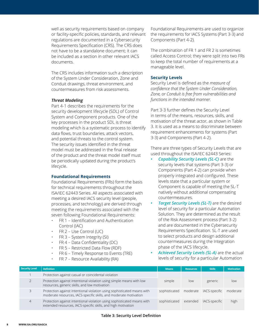well as security requirements based on company or facility-specific policies, standards, and relevant regulations are documented in a Cybersecurity Requirements Specification (CRS). The CRS does not have to be a standalone document; it can be included as a section in other relevant IACS documents.

The CRS includes information such a description of the System Under Consideration, Zone and Conduit drawings, threat environment, and countermeasures from risk assessments.

#### *Threat Modeling*

Part 4-1 describes the requirements for the security development lifecycle (SDL) of Control System and Component products. One of the key processes in the product SDL is threat modeling which is a systematic process to identify data flows, trust boundaries, attack vectors, and potential threats to the control system. The security issues identified in the threat model must be addressed in the final release of the product and the threat model itself must be periodically updated during the product's lifecycle.

#### **Foundational Requirements**

Foundational Requirements (FRs) form the basis for technical requirements throughout the ISA/IEC 62443 Series. All aspects associated with meeting a desired IACS security level (people, processes, and technology) are derived through meeting the requirements associated with the seven following Foundational Requirements:

- FR 1 Identification and Authentication Control (IAC)
- FR 2 Use Control (UC)
- FR 3 System Integrity (SI)
- FR 4 Data Confidentiality (DC)
- FR 5 Restricted Data Flow (RDF)
- FR 6 Timely Response to Events (TRE)
- FR 7 Resource Availability (RA)

Foundational Requirements are used to organize the requirements for IACS Systems (Part 3-3) and Components (Part 4-2).

The combination of FR 1 and FR 2 is sometimes called Access Control; they were split into two FRs to keep the total number of requirements at a manageable level.

#### **Security Levels**

Security Level is defined as the *measure of confidence that the System Under Consideration, Zone, or Conduit is free from vulnerabilities and functions in the intended manner.*

Part 3-3 further defines the Security Level in terms of the means, resources, skills, and motivation of the threat actor, as shown in Table 3. It is used as a means to discriminate between requirement enhancements for systems (Part 3-3) and Components (Part 4-2).

There are three types of Security Levels that are used throughout the ISA/IEC 62443 Series:

- *• Capability Security Levels (SL-C)* are the security levels that systems (Part 3-3) or Components (Part 4-2) can provide when properly integrated and configured. These levels state that a particular system or Component is capable of meeting the SL-T natively without additional compensating countermeasures.
- *Target Security Levels (SL-T)* are the desired level of security for a particular Automation Solution. They are determined as the result of the Risk Assessment process (Part 3-2) and are documented in the Cybersecurity Requirements Specification. SL-T are used to select products and design additional countermeasures during the Integration phase of the IACS lifecycle.
- *• Achieved Security Levels (SL-A)* are the actual levels of security for a particular Automation

| Security Level | <b>Definition</b>                                                                                                                            | <b>Means</b>  | <b>Resources</b> | <b>Skills</b> | <b>Motivation</b> |
|----------------|----------------------------------------------------------------------------------------------------------------------------------------------|---------------|------------------|---------------|-------------------|
|                | Protection against casual or coincidental violation                                                                                          |               |                  |               |                   |
|                | Protection against intentional violation using simple means with low<br>resources, generic skills, and low motivation                        | simple        | low              | generic       | low               |
|                | Protection against intentional violation using sophisticated means with<br>moderate resources, IACS-specific skills, and moderate motivation | sophisticated | moderate         | IACS-specific | moderate          |
| 4              | Protection against intentional violation using sophisticated means with<br>extended resources, IACS-specific skills, and high motivation     | sophisticated | extended         | IACS-specific | high              |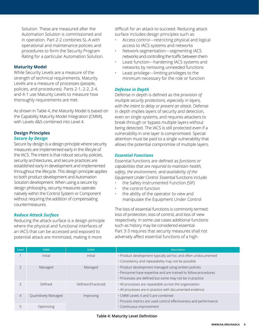Solution. These are measured after the Automation Solution is commissioned and in operation. Part 2-2 combines SL-A with operational and maintenance policies and procedures to form the Security Program Rating for a particular Automation Solution.

#### **Maturity Model**

While Security Levels are a measure of the strength of technical requirements, Maturity Levels are a measure of processes (people, policies, and procedures). Parts 2-1, 2-2, 2-4, and 4-1 use Maturity Levels to measure how thoroughly requirements are met.

As shown in Table 4, the Maturity Model is based on the Capability Maturity Model Integration (CMMI), with Levels 4&5 combined into Level 4

#### **Design Principles** *Secure by Design*

Secure by design is a design principle where security measures are implemented early in the lifecyle of the IACS. The intent is that robust security policies, security architectures, and secure practices are established early in development and implemented throughout the lifecycle. This design principle applies to both product development and Automation Solution development. When using a secure by design philosophy, security measures operate natively within the Control System or Component without requiring the addition of compensating countermeasures.

#### *Reduce Attack Surface*

Reducing the attack surface is a design principle where the physical and functional interfaces of an IACS that can be accessed and exposed to potential attack are minimized, making it more

difficult for an attack to succeed. Reducing attack surface includes design principles such as:

- Access control—restricting physical and logical access to IACS systems and networks
- Network segmentation—segmenting IACS networks and controlling the traffic between them
- Least function—hardening IACS systems and networks by removing unneeded functions
- Least privilege—limiting privileges to the minimum necessary for the role or function

#### *Defense in Depth*

Defense in depth is defined as the *provision of multiple security protections, especially in layers, with the intent to delay or prevent an attack.* Defense in depth implies layers of security and detection, even on single systems, and requires attackers to break through or bypass multiple layers without being detected. The IACS is still protected even if a vulnerability in one layer is compromised. Special attention must be paid to a single vulnerability that allows the potential compromise of multiple layers.

#### *Essential Functions*

Essential functions are defined as *functions or capabilities that are required to maintain health, safety, the environment, and availability of the Equipment Under Control.* Essential functions include:

- the Safety Instrumented Function (SIF)
- the control function
- the ability of the operator to view and manipulate the Equipment Under Control

The loss of essential functions is commonly termed: loss of protection, loss of control, and loss of view respectively. In some use cases additional functions such as history may be considered essential. Part 3-3 requires that security measures shall not adversely affect essential functions of a high-

| Level          | <b>CMMI</b>          | 62443               | <b>Description</b>                                               |
|----------------|----------------------|---------------------|------------------------------------------------------------------|
|                | Initial              | Initial             | · Product development typically ad-hoc and often undocumented    |
|                |                      |                     | . Consistency and repeatability may not be possible              |
|                | Managed              | Managed             | · Product development managed using written policies             |
|                |                      |                     | · Personnel have expertise and are trained to follow procedures  |
|                |                      |                     | · Processes are defined but some may not be in practice          |
| 3              | Defined              | Defined (Practiced) | · All processes are repeatable across the organization           |
|                |                      |                     | · All processes are in practice with documented evidence         |
| $\overline{4}$ | Quantitively Managed | Improving           | • CMMI Levels 4 and 5 are combined                               |
|                |                      |                     | · Process metrics are used control effectiveness and performance |
|                | Optimizing           |                     | · Continuous improvement                                         |

**Table 4: Maturity Level Definition**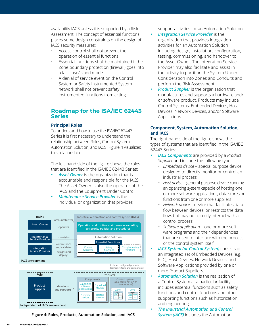availability IACS unless it is supported by a Risk Assessment. The concept of essential functions places some design constraints on the design of IACS security measures:

- Access control shall not prevent the operation of essential functions
- Essential functions shall be maintained if the Zone boundary protection (firewall) goes into a fail close/island mode
- A denial of service event on the Control System or Safety Instrumented System network shall not prevent safety instrumented functions from acting

#### **Roadmap for the ISA/IEC 62443 Series**

#### **Principal Roles**

To understand how to use the ISA/IEC 62443 Series it is first necessary to understand the relationship between Roles, Control System, Automation Solution, and IACS. Figure 4 visualizes this relationship.

The left-hand side of the figure shows the roles that are identified in the ISA/IEC 62443 Series:

- *• Asset Owner* is the organization that is accountable and responsible for the IACS. The Asset Owner is also the operator of the IACS and the Equipment Under Control.
- **Maintenance Service Provider** is the individual or organization that provides



**Figure 4: Roles, Products, Automation Solution, and IACS**

support activities for an Automation Solution.

- *• Integration Service Provider* is the organization that provides integration activities for an Automation Solution including design, installation, configuration, testing, commissioning, and handover to the Asset Owner. The Integration Service Provider may also facilitate and assist in the activity to partition the System Under Consideration into Zones and Conduits and perform the Risk Assessment.
- *• Product Supplier* is the organization that manufactures and supports a hardware and/ or software product. Products may include Control Systems, Embedded Devices, Host Devices, Network Devices, and/or Software Applications.

#### **Component, System, Automation Solution, and IACS**

The right-hand side of the figure shows the types of systems that are identified in the ISA/IEC 62443 Series:

- *• IACS Components* are provided by a *Product Supplier* and include the following types:
	- *• Embedded device*  special purpose device designed to directly monitor or control an industrial process
	- *• Host device* general purpose device running an operating system capable of hosting one or more software applications, data stores or functions from one or more suppliers
	- *• Network device* device that facilitates data flow between devices, or restricts the data flow, but may not directly interact with a control process
	- *• Software application*  one or more software programs and their dependencies that are used to interface with the process or the control system itself
- *• IACS System (or Control System)* consists of an integrated set of Embedded Devices (e.g. PLC), Host Devices, Network Devices, and Software Applications provided by one or more Product Suppliers.
- *• Automation Solution* is the realization of a Control System at a particular facility. It includes essential functions such as safety functions and control functions and other supporting functions such as historization and engineering.
- *• The Industrial Automation and Control System (IACS)* includes the Automation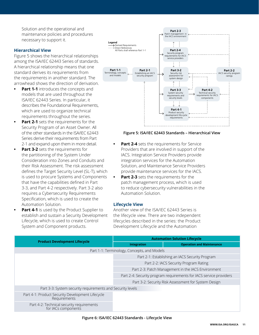Solution and the operational and maintenance policies and procedures necessary to support it.

#### **Hierarchical View**

Figure 5 shows the hierarchical relationships among the ISA/IEC 62443 Series of standards. A hierarchical relationship means that one standard derives its requirements from the requirements in another standard. The arrowhead shows the direction of derivation.

- **• Part 1-1** introduces the concepts and models that are used throughout the ISA/IEC 62443 Series. In particular, it describes the Foundational Requirements, which are used to organize technical requirements throughout the series.
- **• Part 2-1** sets the requirements for the Security Program of an Asset Owner. All of the other standards in the ISA/IEC 62443 Series derive their requirements from Part 2-1 and expand upon them in more detail.
- **Part 3-2** sets the requirements for the partitioning of the System Under Consideration into Zones and Conduits and their Risk Assessment. The risk assessment defines the Target Security Level (SL-T), which is used to procure Systems and Components that have the capabilities defined in Part 3-3, and Part 4-2 respectively. Part 3-2 also requires a Cybersecurity Requirements Specification, which is used to create the Automation Solution.
- **Part 4-1** is used by the Product Supplier to establish and sustain a Security Development Lifecycle, which is used to create Control System and Component products.



#### **Figure 5: ISA/IEC 62443 Standards – Hierarchical View**

- **Part 2-4** sets the requirements for Service Providers that are involved in support of the IACS. Integration Service Providers provide integration services for the Automation Solution, and Maintenance Service Providers provide maintenance services for the IACS.
- **• Part 2-3** sets the requirements for the patch management process, which is used to reduce cybersecurity vulnerabilities in the Automation Solution.

#### **Lifecycle View**

Another view of the ISA/IEC 62443 Series is the lifecycle view. There are two independent lifecycles described in the series: the Product Development Lifecycle and the Automation

|                                                                  | <b>Automation Solution Lifecycle</b>                               |                                                      |  |  |  |
|------------------------------------------------------------------|--------------------------------------------------------------------|------------------------------------------------------|--|--|--|
| <b>Product Development Lifecycle</b>                             | Integration                                                        | <b>Operation and Maintenance</b>                     |  |  |  |
| Part 1-1: Terminology, Concepts, and Models                      |                                                                    |                                                      |  |  |  |
|                                                                  |                                                                    | Part 2-1: Establishing an IACS Security Program      |  |  |  |
|                                                                  | Part 2-2: IACS Security Program Rating                             |                                                      |  |  |  |
|                                                                  | Part 2-3: Patch Management in the IACS Environment                 |                                                      |  |  |  |
|                                                                  | Part 2-4: Security program requirements for IACS service providers |                                                      |  |  |  |
|                                                                  |                                                                    | Part 3-2: Security Risk Assessment for System Design |  |  |  |
| Part 3-3: System security requirements and Security levels       |                                                                    |                                                      |  |  |  |
| Part 4-1: Product Security Development Lifecycle<br>Requirements |                                                                    |                                                      |  |  |  |
| Part 4-2: Technical security requirements<br>for IACs components |                                                                    |                                                      |  |  |  |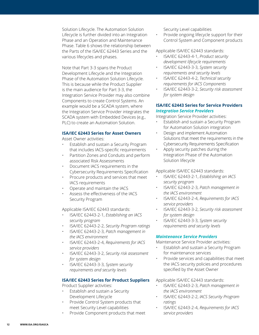Solution Lifecycle. The Automation Solution Lifecycle is further divided into an Integration Phase and an Operation and Maintenance Phase. Table 6 shows the relationship between the Parts of the ISA/IEC 62443 Series and the various lifecycles and phases.

Note that Part 3-3 spans the Product Development Lifecycle and the Integration Phase of the Automation Solution Lifecycle. This is because while the Product Supplier is the main audience for Part 3-3, the Integration Service Provider may also combine Components to create Control Systems. An example would be a SCADA system, where the Integration Service Provider integrates the SCADA system with Embedded Devices (e.g., PLC) to create an Automation Solution.

#### **ISA/IEC 62443 Series for Asset Owners**

Asset Owner activities:

- Establish and sustain a Security Program that includes IACS-specific requirements
- Partition Zones and Conduits and perform associated Risk Assessments
- Document IACS requirements in the Cybersecurity Requirements Specification
- Procure products and services that meet IACS requirements
- Operate and maintain the IACS
- Assess the effectiveness of the IACS Security Program

Applicable ISA/IEC 62443 standards:

- ISA/IEC 62443-2-1, *Establishing an IACS security program*
- ISA/IEC 62443-2-2, *Security Program ratings*
- ISA/IEC 62443-2-3, *Patch management in the IACS environment*
- ISA/IEC 62443-2-4, *Requirements for IACS service providers*
- ISA/IEC 62443-3-2, *Security risk assessment for system design*
- ISA/IEC 62443-3-3, *System security requirements and security levels*

#### **ISA/IEC 62443 Series for Product Suppliers**

Product Supplier activities:

- Establish and sustain a Security Development Lifecycle
- Provide Control System products that meet Security Level capabilities
- Provide Component products that meet

Security Level capabilities

• Provide ongoing lifecycle support for their Control System and Component products

Applicable ISA/IEC 62443 standards:

- ISA/IEC 62443-4-1, *Product security development lifecycle requirements*
- ISA/IEC 62443-3-3, *System security requirements and security levels*
- ISA/IEC 62443-4-2, *Technical security requirements for IACS Components*
- ISA/IEC 62443-3-2, *Security risk assessment for system design*

#### **ISA/IEC 62443 Series for Service Providers** *Integration Service Providers*

Integration Service Provider activities:

- Establish and sustain a Security Program for Automation Solution integration
- Design and implement Automation Solutions that meet the requirements in the Cybersecurity Requirements Specification
- Apply security patches during the Integration Phase of the Automation Solution lifecycle

Applicable ISA/IEC 62443 standards:

- ISA/IEC 62443-2-1, *Establishing an IACS security program*
- ISA/IEC 62443-2-3, *Patch management in the IACS environment*
- ISA/IEC 62443-2-4, *Requirements for IACS service providers*
- ISA/IEC 62443-3-2, *Security risk assessment for system design*
- ISA/IEC 62443-3-3, *System security requirements and security levels*

#### *Maintenance Service Providers*

Maintenance Service Provider activities:

- Establish and sustain a Security Program for maintenance services
- Provide services and capabilities that meet the IACS security policies and procedures specified by the Asset Owner

Applicable ISA/IEC 62443 standards:

- ISA/IEC 62443-2-3, *Patch management in the IACS environment*
- ISA/IEC 62443-2-2, *IACS Security Program ratings*
- ISA/IEC 62443-2-4, *Requirements for IACS service providers*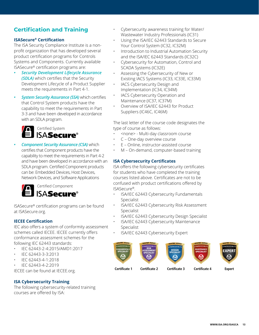# **Certification and Training**

#### **ISASecure® Certification**

The ISA Security Compliance Institute is a nonprofit organization that has developed several product certification programs for Controls Systems and Components. Currently available ISASecure® certification programs are:

- *• Security Development Lifecycle Assurance (SDLA)* which certifies that the Security Development Lifecycle of a Product Supplier meets the requirements in Part 4-1.
- *• System Security Assurance (SSA)* which certifies that Control System products have the capability to meet the requirements in Part 3-3 and have been developed in accordance with an SDLA program.



*• Component Security Assurance (CSA)* which certifies that Component products have the capability to meet the requirements in Part 4-2 and have been developed in accordance with an SDLA program. Certified Component products can be: Embedded Devices, Host Devices, Network Devices, and Software Applications



ISASecure® certification programs can be found at ISASecure.org.

#### **IECEE Certification**

IEC also offers a system of conformity assessment schemes called IECEE. IECEE currently offers conformance assessment schemes for the following IEC 62443 standards:

- IEC 62443-2-4:2015/AMD1:2017
- IEC 62443-3-3:2013
- IEC 62443-4-1:2018
- IEC 62443-4-2:2019

IECEE can be found at IECEE.org.

#### **ISA Cybersecurity Training**

The following cybersecurity-related training courses are offered by ISA:

- Cybersecurity awareness training for Water/ Wastewater Industry Professionals (IC31)
	- Using the ISA/IEC 62443 Standards to Secure Your Control System (IC32, IC32M)
- Introduction to Industrial Automation Security and the ISA/IEC 62443 Standards (IC32C)
- Cybersecurity for Automation, Control and SCADA Systems (IC32E)
- Assessing the Cybersecurity of New or Existing IACS Systems (IC33, IC33E, IC33M)
- IACS Cybersecurity Design and Implementation (IC34, IC34M)
- IACS Cybersecurity Operation and Maintenance (IC37, IC37M)
- Overview of ISA/IEC 62443 for Product Suppliers (IC46C, IC46M)

The last letter of the course code designates the type of course as follows:

- <none> Multi-day classroom course
- C One-day overview course
- E Online, instructor-assisted course
- M On-demand, computer-based training

#### **ISA Cybersecurity Certificates**

ISA offers the following cybersecurity certificates for students who have completed the training courses listed above. Certificates are not to be confused with product certifications offered by ISASecure®.

- ISA/IEC 62443 Cybersecurity Fundamentals Specialist
- ISA/IEC 62443 Cybersecurity Risk Assessment Specialist
- ISA/IEC 62443 Cybersecurity Design Specialist
- ISA/IEC 62443 Cybersecurity Maintenance Specialist
- ISA/IEC 62443 Cybersecurity Expert



**Certificate 1 Certificate 2 Certificate 3 Certificate 4 Expert**